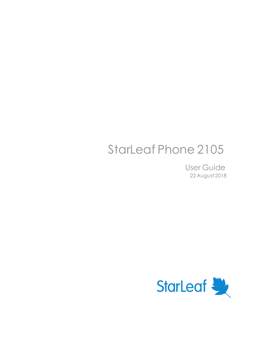# StarLeaf Phone 2105

User Guide 22 August 2018

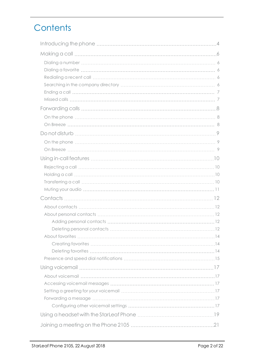# **Contents**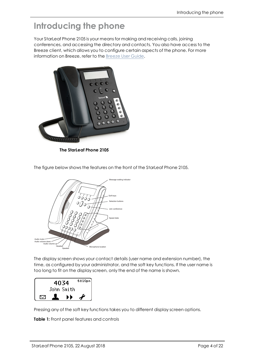# <span id="page-3-0"></span>**Introducing the phone**

Your StarLeaf Phone 2105 is your means for making and receiving calls, joining conferences, and accessing the directory and contacts. You also have access to the Breeze client, which allows you to configure certain aspects of the phone. For more information on Breeze, refer to the [Breeze](https://support.starleaf.com/sites/default/files/documents/starleaf_breeze_user_guide.pdf) User Guide.



**The StarLeaf Phone 2105**

The figure below shows the features on the front of the StarLeaf Phone 2105.



The display screen shows your contact details (user name and extension number), the time, as configured by your administrator, and the soft key functions. If the user name is too long to fit on the display screen, only the end of the name is shown.



Pressing any of the soft key functions takes you to different display screen options.

**Table 1:** Front panel features and controls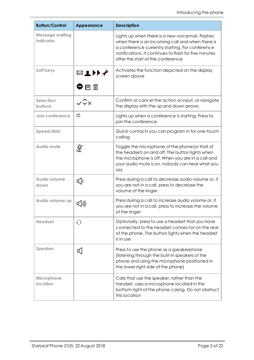| <b>Button/Control</b>                      | <b>Appearance</b> | <b>Description</b>                                                                                                                                                                                                                                    |
|--------------------------------------------|-------------------|-------------------------------------------------------------------------------------------------------------------------------------------------------------------------------------------------------------------------------------------------------|
| <b>Message waiting</b><br><i>indicator</i> |                   | Lights up when there is a new voicemail. Flashes<br>when there is an incoming call and when there is<br>a conference currently starting. For conference<br>notifications, it continues to flash for five minutes<br>after the start of the conference |
| Soft keys                                  | ▨转◗≁<br>●目血       | Activates the function depicted on the display<br>screen above                                                                                                                                                                                        |
| <b>Selection</b><br>buttons                |                   | Confirm or cancel the action or input, or navigate<br>the display with the up and down arrows                                                                                                                                                         |
| Join conference                            | O                 | Lights up when a conference is starting. Press to<br>join the conference                                                                                                                                                                              |
| <b>Speed dials</b>                         |                   | Quick contacts you can program in for one-touch<br>calling                                                                                                                                                                                            |
| Audio mute                                 | 必                 | Toggle the microphone of the phone (or that of<br>the headset) on and off. The button lights when<br>the microphone is off. When you are in a call and<br>your audio mute is on, nobody can hear what you<br>say                                      |
| Audio volume<br>down                       | ₫þ                | Press during a call to decrease audio volume or, if<br>you are not in a call, press to decrease the<br>volume of the ringer                                                                                                                           |
| Audio volume up                            |                   | Press during a call to increase audio volume or, if<br>you are not in a call, press to increase the volume<br>of the ringer                                                                                                                           |
| <b>Headset</b>                             |                   | Optionally, press to use a headset that you have<br>connected to the headset connector on the rear<br>of the phone. The button lights when the headset<br>is in use                                                                                   |
| Speaker                                    | Ф.                | Press to use the phone as a speakerphone<br>(listening through the built-in speakers of the<br>phone and using the microphone positioned in<br>the lower right side of the phone)                                                                     |
| Microphone<br>location                     |                   | Calls that use the speaker, rather than the<br>handset, uses a microphone located in the<br>bottom right of the phone casing. Do not obstruct<br>this location                                                                                        |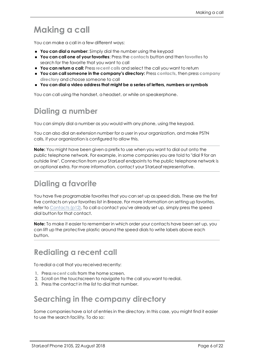# <span id="page-5-0"></span>**Making a call**

You can make a call in a few different ways:

- **F** You can dial a number: Simply dial the number using the keypad
- <sup>n</sup> **You can call one of your favorites**: Press the **contacts** button and then **favorites** to search for the favorite that you want to call
- <sup>n</sup> **You can return a call:** Press **recent calls** and select the call you want to return
- <sup>n</sup> **You can call someone in the company's directory:** Press **contacts**, then press **company directory** and choose someone to call
- <sup>n</sup> **You can dial a video address that might be a series of letters, numbers or symbols**

<span id="page-5-1"></span>You can call using the handset, a headset, or while on speakerphone.

## **Dialing a number**

You can simply dial a number as you would with any phone, using the keypad.

You can also dial an extension number for a user in your organization, and make PSTN calls, if your organization is configured to allow this.

**Note:** You might have been given a prefix to use when you want to dial out onto the public telephone network. For example, in some companies you are told to "dial 9 for an outside line". Connection from your StarLeaf endpoints to the public telephone network is an optional extra. For more information, contact your StarLeaf representative.

## <span id="page-5-2"></span>**Dialing a favorite**

You have five programable favorites that you can set up as speed dials. These are the first five contacts on your favorites list in Breeze. For more information on setting up favorites, refer to [Contacts](#page-11-0) (p12). To call a contact you've already set up, simply press the speed dial button for that contact.

**Note:** To make it easier to remember in which order your contacts have been set up, you can lift up the protective plastic around the speed dials to write labels above each button.

## <span id="page-5-3"></span>**Redialing a recent call**

To redial a call that you received recently:

- 1. Press **recent calls** from the home screen.
- 2. Scroll on the touchscreen to navigate to the call you want to redial.
- <span id="page-5-4"></span>3. Press the contact in the list to dial that number.

### **Searching in the company directory**

Some companies have a lot of entries in the directory. In this case, you might find it easier to use the search facility. To do so: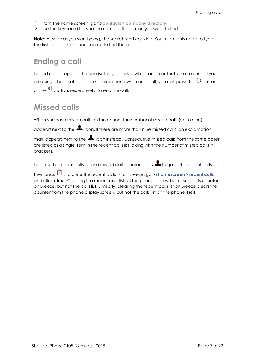- 1. From the home screen, go to **contacts > company directory**.
- 2. Use the keyboard to type the name of the person you want to find.

**Note:** As soon as you start typing, the search starts looking. You might only need to type the first letter of someone's name to find them.

## <span id="page-6-0"></span>**Ending a call**

To end a call, replace the handset, regardless of which audio output you are using. If you are using a headset or are on speakerphone while on a call, you can press the  $\mathbb Q$  button or the  $\mathbb Q$  button, respectively, to end the call.

## <span id="page-6-1"></span>**Missed calls**

When you have missed calls on the phone, the number of missed calls (up to nine)

appears next to the  $\blacksquare$  icon. If there are more than nine missed calls, an exclamation

mark appears next to the  $\blacksquare$  icon instead. Consecutive missed calls from the same caller are listed as a single item in the recent calls list, along with the number of missed calls in brackets.

To clear the recent calls list and missed call counter, press  $\blacksquare$  to go to the recent calls list,

then press . To clear the recent calls list on Breeze, go to **homescreen > recent calls** and click **clear**. Clearing the recent calls list on the phone erases the missed calls counter on Breeze, but not the calls list. Similarly, clearing the recent calls list on Breeze clears the counter from the phone display screen, but not the calls list on the phone itself.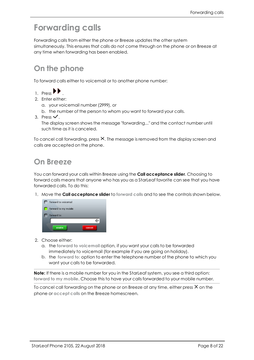# <span id="page-7-0"></span>**Forwarding calls**

Forwarding calls from either the phone or Breeze updates the other system simultaneously. This ensures that calls do not come through on the phone or on Breeze at any time when forwarding has been enabled.

## <span id="page-7-1"></span>**On the phone**

To forward calls either to voicemail or to another phone number:

- $1.$  Press  $\blacksquare$
- 2. Enter either:
	- a. your voicemail number (2999), or
	- b. the number of the person to whom you want to forward your calls.
- 3. Press  $\checkmark$ .

The display screen shows the message "forwarding..." and the contact number until such time as it is canceled.

To cancel call forwarding, press  $X$ . The message is removed from the display screen and calls are accepted on the phone.

## <span id="page-7-2"></span>**On Breeze**

You can forward your calls within Breeze using the **Call acceptance slider**. Choosing to forward calls means that anyone who has you as a StarLeaf favorite can see that you have forwarded calls. To do this:

1. Move the **Call acceptance slider** to **forward calls** and to see the controls shown below.



- 2. Choose either:
	- a. the **forward to voicemail** option, if you want your calls to be forwarded immediately to voicemail (for example if you are going on holiday).
	- b. the **forward to:** option to enter the telephone number of the phone to which you want your calls to be forwarded.

**Note:** If there is a mobile number for you in the StarLeaf system, you see a third option: **forward to my mobile**. Choose this to have your calls forwarded to your mobile number.

To cancel call forwarding on the phone or on Breeze at any time, either press  $\times$  on the phone or **accept calls** on the Breeze homescreen.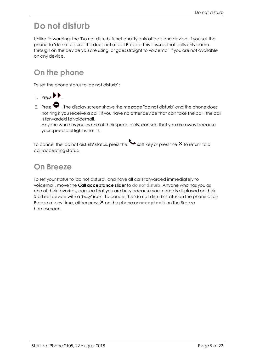# <span id="page-8-0"></span>**Do not disturb**

Unlike forwarding, the 'Do not disturb' functionality only affects one device. If you set the phone to 'do not disturb' this does not affect Breeze. This ensures that calls only come through on the device you are using, or goes straight to voicemail if you are not available on any device.

## <span id="page-8-1"></span>**On the phone**

To set the phone status to 'do not disturb' :

- $1.$  Press  $\blacksquare$
- 2. Press  $\blacktriangleright$  . The display screen shows the message "do not disturb" and the phone does not ring if you receive a call. If you have no other device that can take the call, the call is forwarded to voicemail.

Anyone who has you as one of their speed dials, can see that you are away because your speed dial light is not lit.

To cancel the 'do not disturb' status, press the  $\blacktriangleright$  soft key or press the  $\times$  to return to a call-accepting status.

# <span id="page-8-2"></span>**On Breeze**

To set your status to 'do not disturb', and have all calls forwarded immediately to voicemail, move the **Call acceptance slider** to **do not disturb**. Anyone who has you as one of their favorites, can see that you are busy because your name is displayed on their StarLeaf device with a 'busy' icon. To cancel the 'do not disturb' status on the phone or on Breeze at any time, either press X on the phone or accept calls on the Breeze homescreen.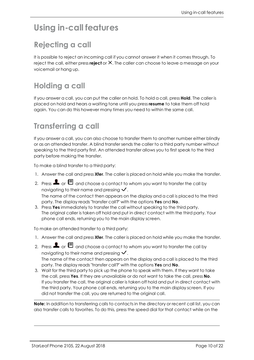# <span id="page-9-1"></span><span id="page-9-0"></span>**Using in-call features**

# **Rejecting a call**

It is possible to reject an incoming call if you cannot answer it when it comes through. To reject the call, either press **reject** or X. The caller can choose to leave a message on your voicemail or hang up.

# <span id="page-9-2"></span>**Holding a call**

If you answer a call, you can put the caller on hold. To hold a call, press **Hold**. The caller is placed on hold and hears a waiting tone until you press **resume** to take them off hold again. You can do this however many times you need to within the same call.

## <span id="page-9-3"></span>**Transferring a call**

If you answer a call, you can also choose to transfer them to another number either blindly or as an attended transfer. A blind transfer sends the caller to a third party number without speaking to the third party first. An attended transfer allows you to first speak to the third party before making the transfer.

To make a blind transfer to a third party:

- 1. Answer the call and press **Xfer**. The caller is placed on hold while you make the transfer.
- 2. Press  $\blacksquare$  or  $\blacksquare$  and choose a contact to whom you want to transfer the call by navigating to their name and pressing  $\checkmark$ . The name of the contact then appears on the display and a call is placed to the third party. The display reads "transfer call?" with the options **Yes** and **No**.
- 3. Press **Yes** immediately to transfer the call without speaking to the third party. The original caller is taken off hold and put in direct contact with the third party. Your phone call ends, returning you to the main display screen.

To make an attended transfer to a third party:

- 1. Answer the call and press **Xfer**. The caller is placed on hold while you make the transfer.
- 2. Press  $\blacksquare$  or  $\boxdot$  and choose a contact to whom you want to transfer the call by navigating to their name and pressing  $\vee$ . The name of the contact then appears on the display and a call is placed to the third party. The display reads "transfer call?" with the options **Yes** and **No**.
- 3. Wait for the third party to pick up the phone to speak with them. If they want to take the call, press **Yes**. If they are unavailable or do not want to take the call, press **No**. If you transfer the call, the original caller is taken off hold and put in direct contact with the third party. Your phone call ends, returning you to the main display screen. If you did not transfer the call, you are returned to the original call.

**Note:** In addition to transferring calls to contacts in the directory or recent call list, you can also transfer calls to favorites. To do this, press the speed dial for that contact while on the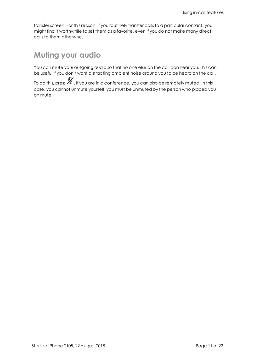transfer screen. For this reason, if you routinely transfer calls to a particular contact, you might find it worthwhile to set them as a favorite, even if you do not make many direct calls to them otherwise.

### <span id="page-10-0"></span>**Muting your audio**

You can mute your outgoing audio so that no one else on the call can hear you. This can be useful if you don't want distracting ambient noise around you to be heard on the call.

To do this, press  $\mathbb Z$  . If you are in a conference, you can also be remotely muted. In this case, you cannot unmute yourself; you must be unmuted by the person who placed you on mute.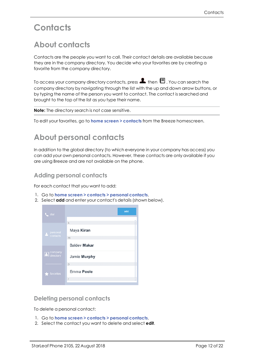# <span id="page-11-1"></span><span id="page-11-0"></span>**Contacts**

# **About contacts**

Contacts are the people you want to call. Their contact details are available because they are in the company directory. You decide who your favorites are by creating a favorite from the company directory.

To access your company directory contacts, press  $\blacksquare$  then  $\blacksquare$  . You can search the company directory by navigating through the list with the up and down arrow buttons, or by typing the name of the person you want to contact. The contact is searched and brought to the top of the list as you type their name.

**Note:** The directory search is not case sensitive.

<span id="page-11-2"></span>To edit your favorites, go to **home screen > contacts** from the Breeze homescreen.

## **About personal contacts**

In addition to the global directory (to which everyone in your company has access) you can add your own personal contacts. However, these contacts are only available if you are using Breeze and are not available on the phone.

#### <span id="page-11-3"></span>**Adding personal contacts**

For each contact that you want to add:

- 1. Go to **home screen > contacts > personal contacts**.
- 2. Select **add** and enter your contact's details (shown below).



#### <span id="page-11-4"></span>**Deleting personal contacts**

To delete a personal contact:

- 1. Go to **home screen > contacts > personal contacts**.
- 2. Select the contact you want to delete and select **edit**.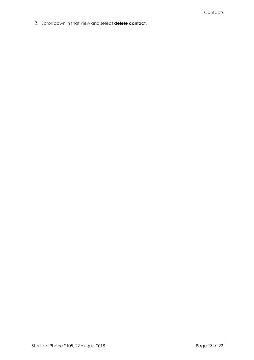3. Scroll down in that view and select **delete contact**.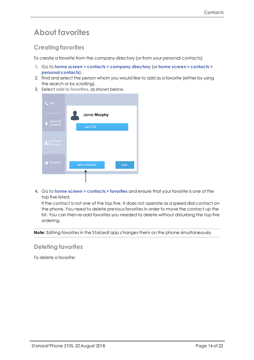### <span id="page-13-0"></span>**About favorites**

#### <span id="page-13-1"></span>**Creating favorites**

To create a favorite from the company directory (or from your personal contacts):

- 1. Go to **home screen > contacts > company directory** (or **home screen > contacts > personal contacts**).
- 2. Find and select the person whom you would like to add as a favorite (either by using the search or by scrolling).
- 3. Select **add to favorites**, as shown below.



4. Go to **home screen > contacts > favorites** and ensure that your favorite is one of the top five listed.

If the contact is not one of the top five, it does not operate as a speed dial contact on the phone. You need to delete previous favorites in order to move the contact up the list. You can then re-add favorites you needed to delete without disturbing the top five ordering.

<span id="page-13-2"></span>**Note:** Editing favorites in the StarLeaf app changes them on the phone simultaneously.

#### **Deleting favorites**

To delete a favorite: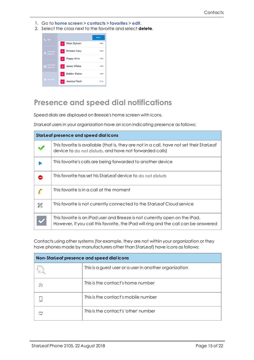- 1. Go to **home screen > contacts > favorites > edit**.
- 2. Select the cross next to the favorite and select **delete**.



#### <span id="page-14-0"></span>**Presence and speed dial notifications**

Speed dials are displayed on Breeze's home screen with icons.

StarLeaf users in your organization have an icon indicating presence as follows:

| <b>StarLeaf presence and speed dial icons</b> |                                                                                                                                                                    |  |  |  |
|-----------------------------------------------|--------------------------------------------------------------------------------------------------------------------------------------------------------------------|--|--|--|
|                                               | This favorite is available (that is, they are not in a call, have not set their StarLeaf<br>device to do not disturb, and have not forwarded calls)                |  |  |  |
|                                               | This favorite's calls are being forwarded to another device                                                                                                        |  |  |  |
|                                               | This favorite has set his StarLeaf device to do not disturb                                                                                                        |  |  |  |
|                                               | This favorite is in a call at the moment                                                                                                                           |  |  |  |
|                                               | This favorite is not currently connected to the StarLeaf Cloud service                                                                                             |  |  |  |
|                                               | This favorite is an iPad user and Breeze is not currently open on the iPad.<br>However, if you call this favorite, the iPad will ring and the call can be answered |  |  |  |

Contacts using other systems (for example, they are not within your organization or they have phones made by manufacturers other than StarLeaf) have icons as follows:

| Non-StarLeaf presence and speed dial icons |                                                        |  |  |
|--------------------------------------------|--------------------------------------------------------|--|--|
|                                            | This is a guest user or a user in another organization |  |  |
|                                            | This is the contact's home number                      |  |  |
|                                            | This is the contact's mobile number                    |  |  |
|                                            | This is the contact's 'other' number                   |  |  |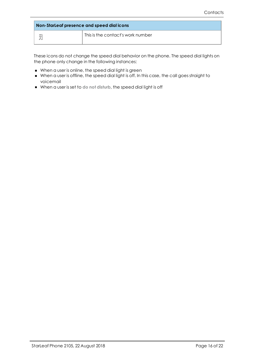| Non-StarLeaf presence and speed dial icons |                                   |  |  |  |
|--------------------------------------------|-----------------------------------|--|--|--|
| Ŧ                                          | This is the contact's work number |  |  |  |

These icons do not change the speed dial behavior on the phone. The speed dial lights on the phone only change in the following instances:

- <sup>n</sup> When a user is online, the speed dial light is green
- <sup>n</sup> When a user is offline, the speed dial light is off. In this case, the call goes straight to voicemail
- <sup>n</sup> When a user is set to **do not disturb**, the speed dial light is off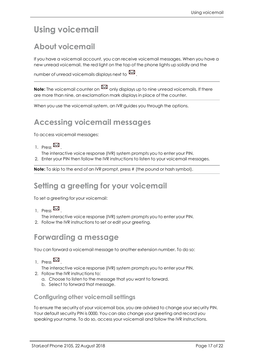# <span id="page-16-1"></span><span id="page-16-0"></span>**Using voicemail**

# **About voicemail**

If you have a voicemail account, you can receive voicemail messages. When you have a new unread voicemail, the red light on the top of the phone lights up solidly and the

number of unread voicemails displays next to  $\mathbb{M}$ .

**Note:** The voicemail counter on  $\mathbb{M}$  only displays up to nine unread voicemails. If there are more than nine, an exclamation mark displays in place of the counter.

<span id="page-16-2"></span>When you use the voicemail system, an IVR guides you through the options.

### **Accessing voicemail messages**

To access voicemail messages:

1. Press  $\boxtimes$ 

The interactive voice response (IVR) system prompts you to enter your PIN.

2. Enter your PIN then follow the IVR instructions to listen to your voicemail messages.

<span id="page-16-3"></span>**Note:** To skip to the end of an IVR prompt, press # (the pound or hash symbol).

#### **Setting a greeting for your voicemail**

To set a greeting for your voicemail:

- 1. Pross  $\mathbb{M}$ .
- The interactive voice response (IVR) system prompts you to enter your PIN.
- <span id="page-16-4"></span>2. Follow the IVR instructions to set or edit your greeting.

## **Forwarding a message**

You can forward a voicemail message to another extension number. To do so:

1. Press  $\boxtimes$ 

The interactive voice response (IVR) system prompts you to enter your PIN.

- 2. Follow the IVR instructions to:
	- a. Choose to listen to the message that you want to forward.
	- b. Select to forward that message.

#### <span id="page-16-5"></span>**Configuring other voicemail settings**

To ensure the security of your voicemail box, you are advised to change your security PIN. Your default security PIN is 0000. You can also change your greeting and record you speaking your name. To do so, access your voicemail and follow the IVR instructions.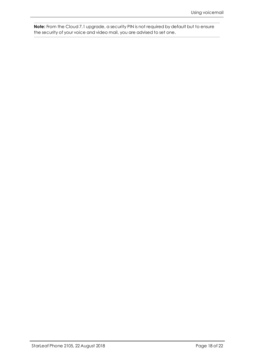**Note:** From the Cloud 7.1 upgrade, a security PIN is not required by default but to ensure the security of your voice and video mail, you are advised to set one.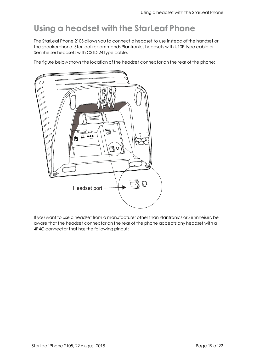# <span id="page-18-0"></span>**Using a headset with the StarLeaf Phone**

The StarLeaf Phone 2105 allows you to connect a headset to use instead of the handset or the speakerphone. StarLeaf recommends Plantronics headsets with U10P type cable or Sennheiser headsets with CSTD 24 type cable.

The figure below shows the location of the headset connector on the rear of the phone:



If you want to use a headset from a manufacturer other than Plantronics or Sennheiser, be aware that the headset connector on the rear of the phone accepts any headset with a 4P4C connector that has the following pinout: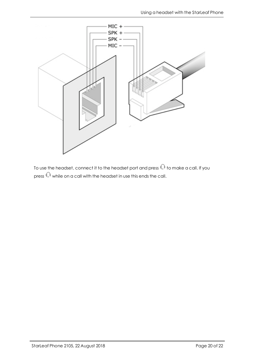

To use the headset, connect it to the headset port and press  $\mathbb Q$  to make a call. If you press  $\mathbb Q$  while on a call with the headset in use this ends the call.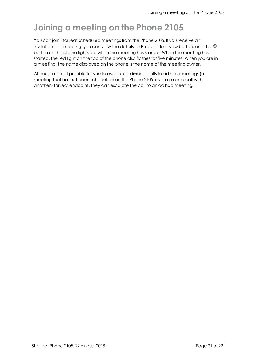# <span id="page-20-0"></span>**Joining a meeting on the Phone 2105**

You can join StarLeaf scheduled meetings from the Phone 2105. If you receive an invitation to a meeting, you can view the details on Breeze's Join Now button, and the  $\Phi$ button on the phone lights red when the meeting has started. When the meeting has started, the red light on the top of the phone also flashes for five minutes. When you are in a meeting, the name displayed on the phone is the name of the meeting owner.

Although it is not possible for you to escalate individual calls to ad hoc meetings (a meeting that has not been scheduled) on the Phone 2105, if you are on a call with another StarLeaf endpoint, they can escalate the call to an ad hoc meeting.